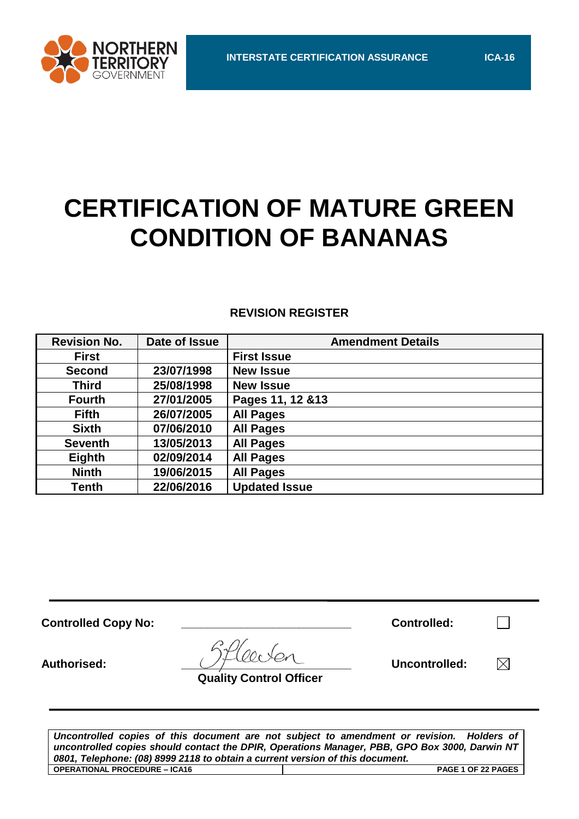

# **CERTIFICATION OF MATURE GREEN CONDITION OF BANANAS**

# **REVISION REGISTER**

| <b>Revision No.</b> | Date of Issue | <b>Amendment Details</b> |
|---------------------|---------------|--------------------------|
| <b>First</b>        |               | <b>First Issue</b>       |
| <b>Second</b>       | 23/07/1998    | <b>New Issue</b>         |
| <b>Third</b>        | 25/08/1998    | <b>New Issue</b>         |
| <b>Fourth</b>       | 27/01/2005    | Pages 11, 12 & 13        |
| <b>Fifth</b>        | 26/07/2005    | <b>All Pages</b>         |
| <b>Sixth</b>        | 07/06/2010    | <b>All Pages</b>         |
| <b>Seventh</b>      | 13/05/2013    | <b>All Pages</b>         |
| Eighth              | 02/09/2014    | <b>All Pages</b>         |
| <b>Ninth</b>        | 19/06/2015    | <b>All Pages</b>         |
| <b>Tenth</b>        | 22/06/2016    | <b>Updated Issue</b>     |

| <b>Controlled Copy No:</b> |                                | <b>Controlled:</b> |  |
|----------------------------|--------------------------------|--------------------|--|
| Authorised:                | <b>Quality Control Officer</b> | Uncontrolled:      |  |
|                            |                                |                    |  |

*Uncontrolled copies of this document are not subject to amendment or revision. Holders of uncontrolled copies should contact the DPIR, Operations Manager, PBB, GPO Box 3000, Darwin NT 0801, Telephone: (08) 8999 2118 to obtain a current version of this document.* **OPERATIONAL PROCEDURE – ICA16 PAGE 1 OF 22 PAGES**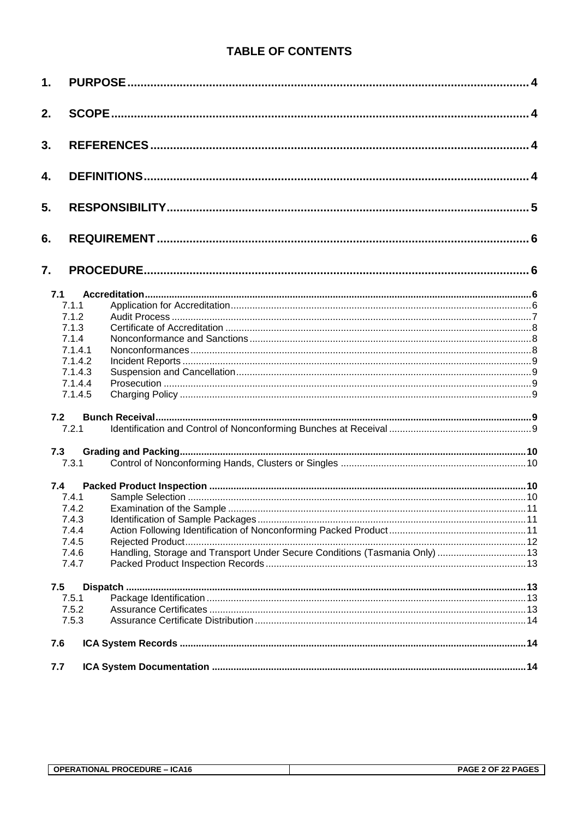# **TABLE OF CONTENTS**

| 1.  |                    |                                                                             |  |
|-----|--------------------|-----------------------------------------------------------------------------|--|
| 2.  |                    |                                                                             |  |
| 3.  |                    |                                                                             |  |
| 4.  |                    |                                                                             |  |
| 5.  |                    |                                                                             |  |
| 6.  |                    |                                                                             |  |
| 7.  |                    |                                                                             |  |
| 7.1 |                    |                                                                             |  |
|     | 7.1.1              |                                                                             |  |
|     | 7.1.2              |                                                                             |  |
|     | 7.1.3              |                                                                             |  |
|     | 7.1.4              |                                                                             |  |
|     | 7.1.4.1            |                                                                             |  |
|     | 7.1.4.2            |                                                                             |  |
|     | 7.1.4.3            |                                                                             |  |
|     | 7.1.4.4<br>7.1.4.5 |                                                                             |  |
| 7.2 |                    |                                                                             |  |
|     | 7.2.1              |                                                                             |  |
| 7.3 |                    |                                                                             |  |
|     | 7.3.1              |                                                                             |  |
| 7.4 |                    |                                                                             |  |
|     | 7.4.1              |                                                                             |  |
|     |                    |                                                                             |  |
|     | 7.4.3              |                                                                             |  |
|     | 7.4.4              |                                                                             |  |
|     | 7.4.5              |                                                                             |  |
|     | 7.4.6<br>7.4.7     | Handling, Storage and Transport Under Secure Conditions (Tasmania Only)  13 |  |
| 7.5 |                    |                                                                             |  |
|     | 7.5.1              |                                                                             |  |
|     | 7.5.2              |                                                                             |  |
|     | 7.5.3              |                                                                             |  |
| 7.6 |                    |                                                                             |  |
| 7.7 |                    |                                                                             |  |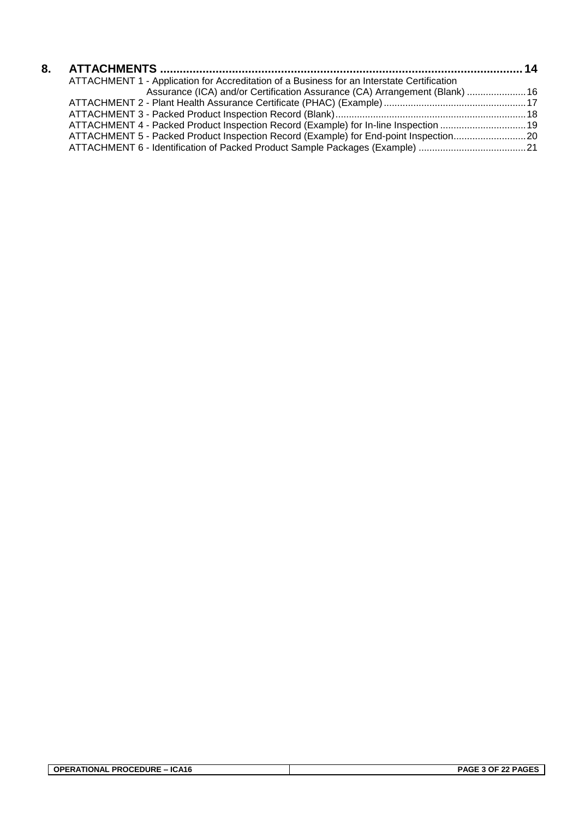| ATTACHMENT 1 - Application for Accreditation of a Business for an Interstate Certification |  |
|--------------------------------------------------------------------------------------------|--|
| Assurance (ICA) and/or Certification Assurance (CA) Arrangement (Blank)  16                |  |
|                                                                                            |  |
|                                                                                            |  |
| ATTACHMENT 4 - Packed Product Inspection Record (Example) for In-line Inspection 19        |  |
| ATTACHMENT 5 - Packed Product Inspection Record (Example) for End-point Inspection20       |  |
|                                                                                            |  |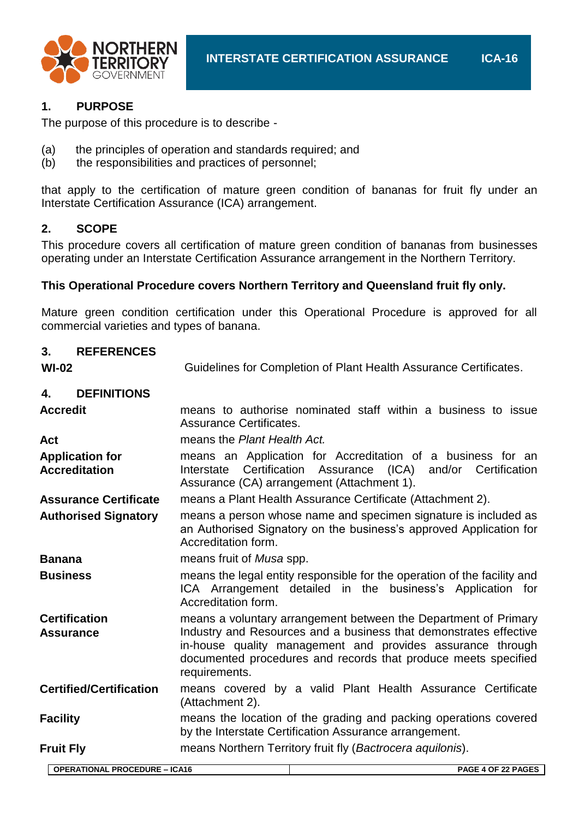

# **1. PURPOSE**

The purpose of this procedure is to describe -

- (a) the principles of operation and standards required; and
- (b) the responsibilities and practices of personnel;

that apply to the certification of mature green condition of bananas for fruit fly under an Interstate Certification Assurance (ICA) arrangement.

# **2. SCOPE**

This procedure covers all certification of mature green condition of bananas from businesses operating under an Interstate Certification Assurance arrangement in the Northern Territory.

# **This Operational Procedure covers Northern Territory and Queensland fruit fly only.**

Mature green condition certification under this Operational Procedure is approved for all commercial varieties and types of banana.

| 3.               | <b>REFERENCES</b>                              |                                                                                                                                                                                                                                                                                       |
|------------------|------------------------------------------------|---------------------------------------------------------------------------------------------------------------------------------------------------------------------------------------------------------------------------------------------------------------------------------------|
| <b>WI-02</b>     |                                                | Guidelines for Completion of Plant Health Assurance Certificates.                                                                                                                                                                                                                     |
| 4.               | <b>DEFINITIONS</b>                             |                                                                                                                                                                                                                                                                                       |
| <b>Accredit</b>  |                                                | means to authorise nominated staff within a business to issue<br><b>Assurance Certificates.</b>                                                                                                                                                                                       |
| <b>Act</b>       |                                                | means the Plant Health Act.                                                                                                                                                                                                                                                           |
|                  | <b>Application for</b><br><b>Accreditation</b> | means an Application for Accreditation of a business for an<br>(ICA)<br>Certification<br>Assurance<br>and/or Certification<br>Interstate<br>Assurance (CA) arrangement (Attachment 1).                                                                                                |
|                  | <b>Assurance Certificate</b>                   | means a Plant Health Assurance Certificate (Attachment 2).                                                                                                                                                                                                                            |
|                  | <b>Authorised Signatory</b>                    | means a person whose name and specimen signature is included as<br>an Authorised Signatory on the business's approved Application for<br>Accreditation form.                                                                                                                          |
| <b>Banana</b>    |                                                | means fruit of Musa spp.                                                                                                                                                                                                                                                              |
| <b>Business</b>  |                                                | means the legal entity responsible for the operation of the facility and<br>ICA Arrangement detailed in the business's Application for<br>Accreditation form.                                                                                                                         |
| <b>Assurance</b> | <b>Certification</b>                           | means a voluntary arrangement between the Department of Primary<br>Industry and Resources and a business that demonstrates effective<br>in-house quality management and provides assurance through<br>documented procedures and records that produce meets specified<br>requirements. |
|                  | <b>Certified/Certification</b>                 | means covered by a valid Plant Health Assurance Certificate<br>(Attachment 2).                                                                                                                                                                                                        |
| <b>Facility</b>  |                                                | means the location of the grading and packing operations covered<br>by the Interstate Certification Assurance arrangement.                                                                                                                                                            |
| <b>Fruit Fly</b> |                                                | means Northern Territory fruit fly (Bactrocera aquilonis).                                                                                                                                                                                                                            |
|                  | ODEDATIONAL DROCEDURE ICA46                    | <b>DACE A OF 22 DACES</b>                                                                                                                                                                                                                                                             |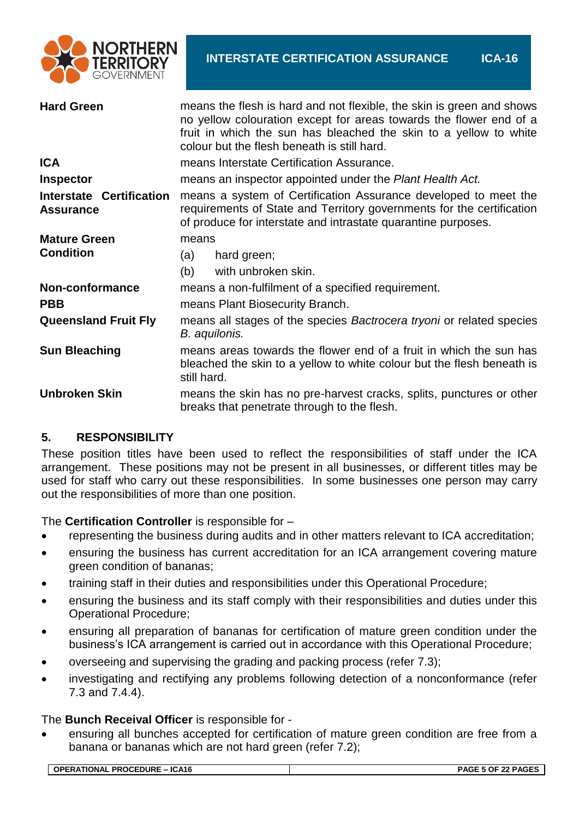

| <b>Hard Green</b>                                   | means the flesh is hard and not flexible, the skin is green and shows<br>no yellow colouration except for areas towards the flower end of a<br>fruit in which the sun has bleached the skin to a yellow to white<br>colour but the flesh beneath is still hard. |  |  |  |
|-----------------------------------------------------|-----------------------------------------------------------------------------------------------------------------------------------------------------------------------------------------------------------------------------------------------------------------|--|--|--|
| <b>ICA</b>                                          | means Interstate Certification Assurance.                                                                                                                                                                                                                       |  |  |  |
| <b>Inspector</b>                                    | means an inspector appointed under the Plant Health Act.                                                                                                                                                                                                        |  |  |  |
| <b>Interstate Certification</b><br><b>Assurance</b> | means a system of Certification Assurance developed to meet the<br>requirements of State and Territory governments for the certification<br>of produce for interstate and intrastate quarantine purposes.                                                       |  |  |  |
| <b>Mature Green</b>                                 | means                                                                                                                                                                                                                                                           |  |  |  |
| <b>Condition</b>                                    | hard green;<br>(a)                                                                                                                                                                                                                                              |  |  |  |
|                                                     | with unbroken skin.<br>(b)                                                                                                                                                                                                                                      |  |  |  |
| Non-conformance                                     | means a non-fulfilment of a specified requirement.                                                                                                                                                                                                              |  |  |  |
| <b>PBB</b>                                          | means Plant Biosecurity Branch.                                                                                                                                                                                                                                 |  |  |  |
| <b>Queensland Fruit Fly</b>                         | means all stages of the species Bactrocera tryoni or related species<br>B. aquilonis.                                                                                                                                                                           |  |  |  |
| <b>Sun Bleaching</b>                                | means areas towards the flower end of a fruit in which the sun has<br>bleached the skin to a yellow to white colour but the flesh beneath is<br>still hard.                                                                                                     |  |  |  |
| <b>Unbroken Skin</b>                                | means the skin has no pre-harvest cracks, splits, punctures or other<br>breaks that penetrate through to the flesh.                                                                                                                                             |  |  |  |

# **5. RESPONSIBILITY**

These position titles have been used to reflect the responsibilities of staff under the ICA arrangement. These positions may not be present in all businesses, or different titles may be used for staff who carry out these responsibilities. In some businesses one person may carry out the responsibilities of more than one position.

The **Certification Controller** is responsible for –

- representing the business during audits and in other matters relevant to ICA accreditation;
- ensuring the business has current accreditation for an ICA arrangement covering mature green condition of bananas;
- training staff in their duties and responsibilities under this Operational Procedure;
- ensuring the business and its staff comply with their responsibilities and duties under this Operational Procedure;
- ensuring all preparation of bananas for certification of mature green condition under the business's ICA arrangement is carried out in accordance with this Operational Procedure;
- overseeing and supervising the grading and packing process (refer 7.3);
- investigating and rectifying any problems following detection of a nonconformance (refer 7.3 and 7.4.4).

#### The **Bunch Receival Officer** is responsible for -

 ensuring all bunches accepted for certification of mature green condition are free from a banana or bananas which are not hard green (refer 7.2);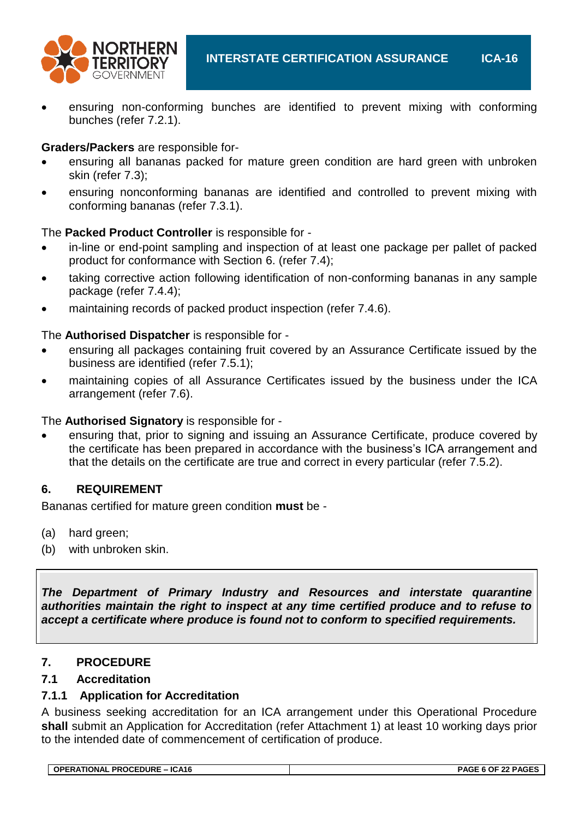

 ensuring non-conforming bunches are identified to prevent mixing with conforming bunches (refer 7.2.1).

# **Graders/Packers** are responsible for-

- ensuring all bananas packed for mature green condition are hard green with unbroken skin (refer 7.3);
- ensuring nonconforming bananas are identified and controlled to prevent mixing with conforming bananas (refer 7.3.1).

The **Packed Product Controller** is responsible for -

- in-line or end-point sampling and inspection of at least one package per pallet of packed product for conformance with Section 6. (refer 7.4);
- taking corrective action following identification of non-conforming bananas in any sample package (refer 7.4.4);
- maintaining records of packed product inspection (refer 7.4.6).

# The **Authorised Dispatcher** is responsible for -

- ensuring all packages containing fruit covered by an Assurance Certificate issued by the business are identified (refer 7.5.1);
- maintaining copies of all Assurance Certificates issued by the business under the ICA arrangement (refer 7.6).

# The **Authorised Signatory** is responsible for -

 ensuring that, prior to signing and issuing an Assurance Certificate, produce covered by the certificate has been prepared in accordance with the business's ICA arrangement and that the details on the certificate are true and correct in every particular (refer 7.5.2).

# **6. REQUIREMENT**

Bananas certified for mature green condition **must** be -

- (a) hard green;
- (b) with unbroken skin.

*The Department of Primary Industry and Resources and interstate quarantine authorities maintain the right to inspect at any time certified produce and to refuse to accept a certificate where produce is found not to conform to specified requirements.*

# **7. PROCEDURE**

# **7.1 Accreditation**

# **7.1.1 Application for Accreditation**

A business seeking accreditation for an ICA arrangement under this Operational Procedure **shall** submit an Application for Accreditation (refer Attachment 1) at least 10 working days prior to the intended date of commencement of certification of produce.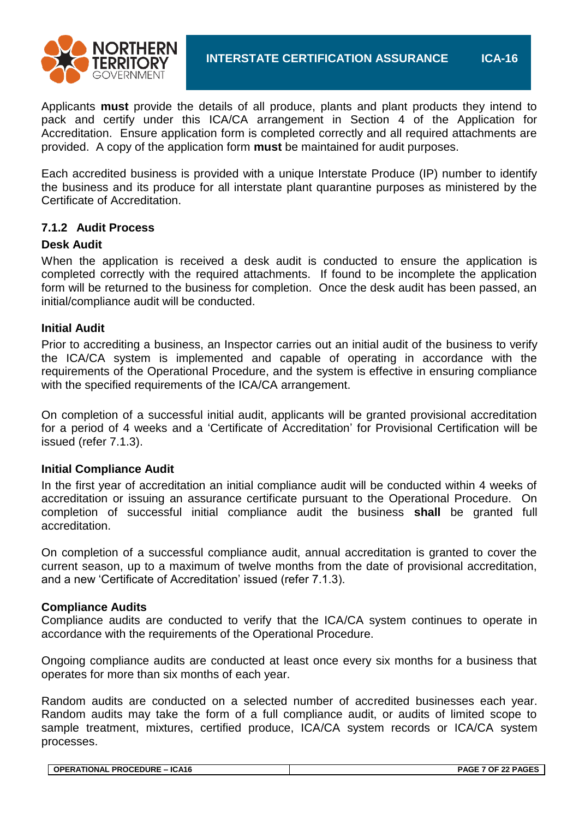

Applicants **must** provide the details of all produce, plants and plant products they intend to pack and certify under this ICA/CA arrangement in Section 4 of the Application for Accreditation. Ensure application form is completed correctly and all required attachments are provided. A copy of the application form **must** be maintained for audit purposes.

Each accredited business is provided with a unique Interstate Produce (IP) number to identify the business and its produce for all interstate plant quarantine purposes as ministered by the Certificate of Accreditation.

#### **7.1.2 Audit Process**

#### **Desk Audit**

When the application is received a desk audit is conducted to ensure the application is completed correctly with the required attachments. If found to be incomplete the application form will be returned to the business for completion. Once the desk audit has been passed, an initial/compliance audit will be conducted.

#### **Initial Audit**

Prior to accrediting a business, an Inspector carries out an initial audit of the business to verify the ICA/CA system is implemented and capable of operating in accordance with the requirements of the Operational Procedure, and the system is effective in ensuring compliance with the specified requirements of the ICA/CA arrangement.

On completion of a successful initial audit, applicants will be granted provisional accreditation for a period of 4 weeks and a 'Certificate of Accreditation' for Provisional Certification will be issued (refer 7.1.3).

#### **Initial Compliance Audit**

In the first year of accreditation an initial compliance audit will be conducted within 4 weeks of accreditation or issuing an assurance certificate pursuant to the Operational Procedure. On completion of successful initial compliance audit the business **shall** be granted full accreditation.

On completion of a successful compliance audit, annual accreditation is granted to cover the current season, up to a maximum of twelve months from the date of provisional accreditation, and a new 'Certificate of Accreditation' issued (refer 7.1.3).

#### **Compliance Audits**

Compliance audits are conducted to verify that the ICA/CA system continues to operate in accordance with the requirements of the Operational Procedure.

Ongoing compliance audits are conducted at least once every six months for a business that operates for more than six months of each year.

Random audits are conducted on a selected number of accredited businesses each year. Random audits may take the form of a full compliance audit, or audits of limited scope to sample treatment, mixtures, certified produce, ICA/CA system records or ICA/CA system processes.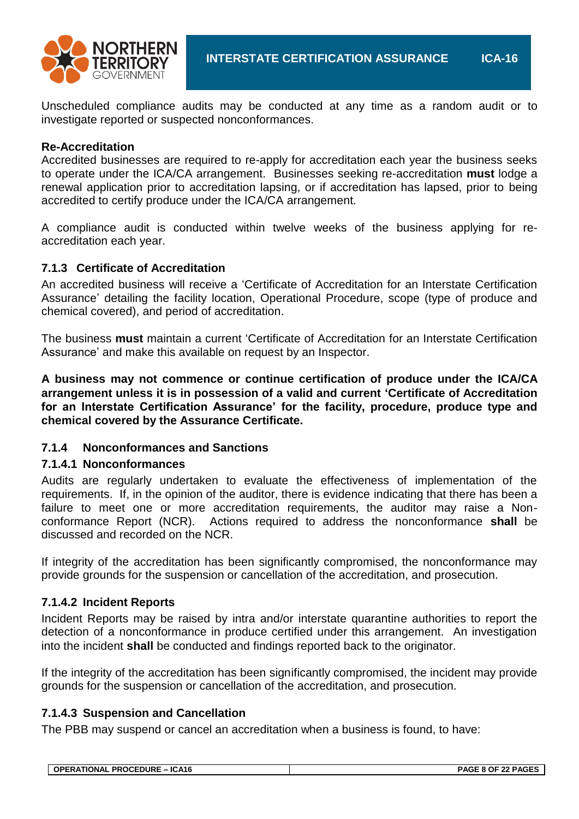

Unscheduled compliance audits may be conducted at any time as a random audit or to investigate reported or suspected nonconformances.

#### **Re-Accreditation**

Accredited businesses are required to re-apply for accreditation each year the business seeks to operate under the ICA/CA arrangement. Businesses seeking re-accreditation **must** lodge a renewal application prior to accreditation lapsing, or if accreditation has lapsed, prior to being accredited to certify produce under the ICA/CA arrangement.

A compliance audit is conducted within twelve weeks of the business applying for reaccreditation each year.

#### **7.1.3 Certificate of Accreditation**

An accredited business will receive a 'Certificate of Accreditation for an Interstate Certification Assurance' detailing the facility location, Operational Procedure, scope (type of produce and chemical covered), and period of accreditation.

The business **must** maintain a current 'Certificate of Accreditation for an Interstate Certification Assurance' and make this available on request by an Inspector.

**A business may not commence or continue certification of produce under the ICA/CA arrangement unless it is in possession of a valid and current 'Certificate of Accreditation for an Interstate Certification Assurance' for the facility, procedure, produce type and chemical covered by the Assurance Certificate.**

#### **7.1.4 Nonconformances and Sanctions**

#### **7.1.4.1 Nonconformances**

Audits are regularly undertaken to evaluate the effectiveness of implementation of the requirements. If, in the opinion of the auditor, there is evidence indicating that there has been a failure to meet one or more accreditation requirements, the auditor may raise a Nonconformance Report (NCR). Actions required to address the nonconformance **shall** be discussed and recorded on the NCR.

If integrity of the accreditation has been significantly compromised, the nonconformance may provide grounds for the suspension or cancellation of the accreditation, and prosecution.

# **7.1.4.2 Incident Reports**

Incident Reports may be raised by intra and/or interstate quarantine authorities to report the detection of a nonconformance in produce certified under this arrangement. An investigation into the incident **shall** be conducted and findings reported back to the originator.

If the integrity of the accreditation has been significantly compromised, the incident may provide grounds for the suspension or cancellation of the accreditation, and prosecution.

# **7.1.4.3 Suspension and Cancellation**

The PBB may suspend or cancel an accreditation when a business is found, to have:

| ∣ OPERATIONAL PROCEDURE – ICA16 |
|---------------------------------|
|---------------------------------|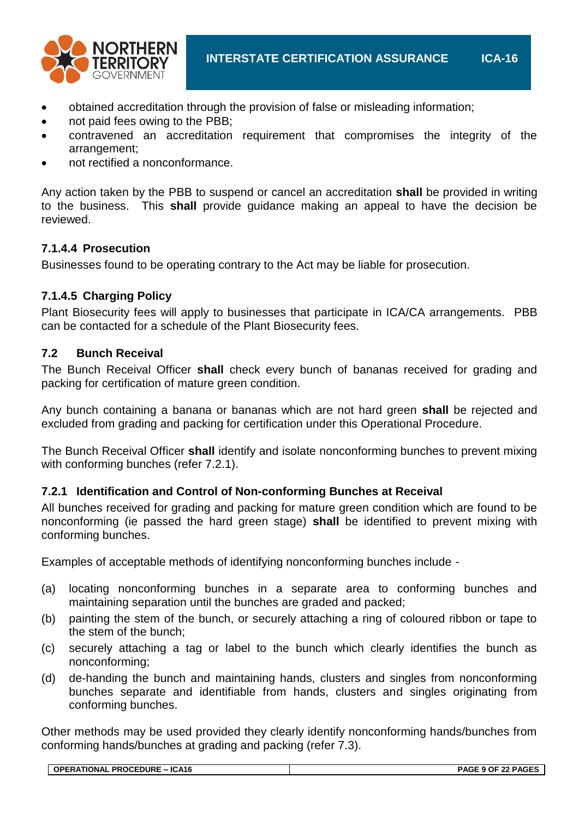

- obtained accreditation through the provision of false or misleading information;
- not paid fees owing to the PBB;
- contravened an accreditation requirement that compromises the integrity of the arrangement;
- not rectified a nonconformance.

Any action taken by the PBB to suspend or cancel an accreditation **shall** be provided in writing to the business. This **shall** provide guidance making an appeal to have the decision be reviewed.

# **7.1.4.4 Prosecution**

Businesses found to be operating contrary to the Act may be liable for prosecution.

# **7.1.4.5 Charging Policy**

Plant Biosecurity fees will apply to businesses that participate in ICA/CA arrangements. PBB can be contacted for a schedule of the Plant Biosecurity fees.

#### **7.2 Bunch Receival**

The Bunch Receival Officer **shall** check every bunch of bananas received for grading and packing for certification of mature green condition.

Any bunch containing a banana or bananas which are not hard green **shall** be rejected and excluded from grading and packing for certification under this Operational Procedure.

The Bunch Receival Officer **shall** identify and isolate nonconforming bunches to prevent mixing with conforming bunches (refer 7.2.1).

# **7.2.1 Identification and Control of Non-conforming Bunches at Receival**

All bunches received for grading and packing for mature green condition which are found to be nonconforming (ie passed the hard green stage) **shall** be identified to prevent mixing with conforming bunches.

Examples of acceptable methods of identifying nonconforming bunches include -

- (a) locating nonconforming bunches in a separate area to conforming bunches and maintaining separation until the bunches are graded and packed;
- (b) painting the stem of the bunch, or securely attaching a ring of coloured ribbon or tape to the stem of the bunch;
- (c) securely attaching a tag or label to the bunch which clearly identifies the bunch as nonconforming;
- (d) de-handing the bunch and maintaining hands, clusters and singles from nonconforming bunches separate and identifiable from hands, clusters and singles originating from conforming bunches.

Other methods may be used provided they clearly identify nonconforming hands/bunches from conforming hands/bunches at grading and packing (refer 7.3).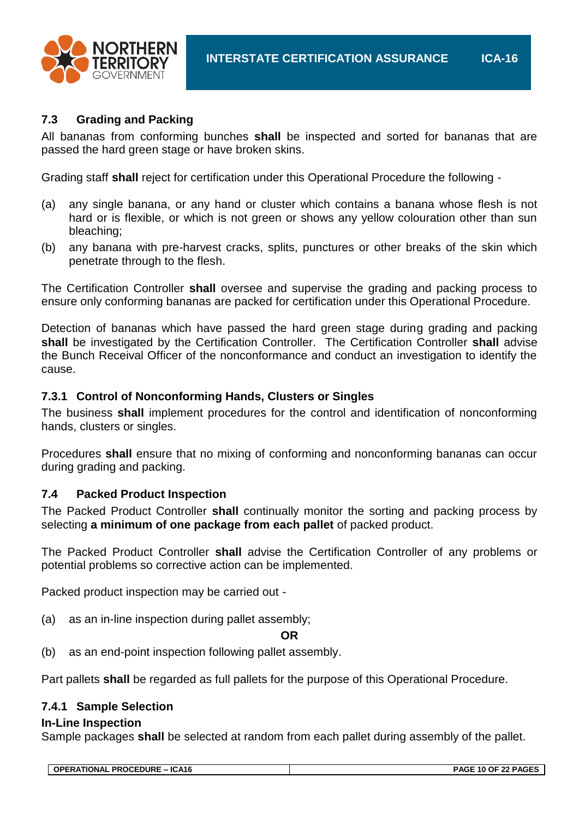

# **7.3 Grading and Packing**

All bananas from conforming bunches **shall** be inspected and sorted for bananas that are passed the hard green stage or have broken skins.

Grading staff **shall** reject for certification under this Operational Procedure the following -

- (a) any single banana, or any hand or cluster which contains a banana whose flesh is not hard or is flexible, or which is not green or shows any yellow colouration other than sun bleaching;
- (b) any banana with pre-harvest cracks, splits, punctures or other breaks of the skin which penetrate through to the flesh.

The Certification Controller **shall** oversee and supervise the grading and packing process to ensure only conforming bananas are packed for certification under this Operational Procedure.

Detection of bananas which have passed the hard green stage during grading and packing **shall** be investigated by the Certification Controller. The Certification Controller **shall** advise the Bunch Receival Officer of the nonconformance and conduct an investigation to identify the cause.

# **7.3.1 Control of Nonconforming Hands, Clusters or Singles**

The business **shall** implement procedures for the control and identification of nonconforming hands, clusters or singles.

Procedures **shall** ensure that no mixing of conforming and nonconforming bananas can occur during grading and packing.

#### **7.4 Packed Product Inspection**

The Packed Product Controller **shall** continually monitor the sorting and packing process by selecting **a minimum of one package from each pallet** of packed product.

The Packed Product Controller **shall** advise the Certification Controller of any problems or potential problems so corrective action can be implemented.

Packed product inspection may be carried out -

(a) as an in-line inspection during pallet assembly;

#### **OR**

(b) as an end-point inspection following pallet assembly.

Part pallets **shall** be regarded as full pallets for the purpose of this Operational Procedure.

# **7.4.1 Sample Selection**

#### **In-Line Inspection**

Sample packages **shall** be selected at random from each pallet during assembly of the pallet.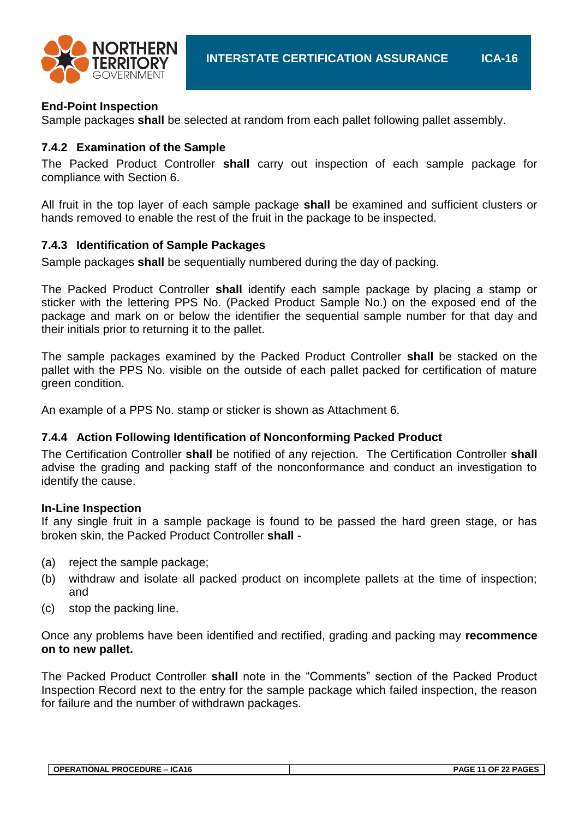

#### **End-Point Inspection**

Sample packages **shall** be selected at random from each pallet following pallet assembly.

#### **7.4.2 Examination of the Sample**

The Packed Product Controller **shall** carry out inspection of each sample package for compliance with Section 6.

All fruit in the top layer of each sample package **shall** be examined and sufficient clusters or hands removed to enable the rest of the fruit in the package to be inspected.

#### **7.4.3 Identification of Sample Packages**

Sample packages **shall** be sequentially numbered during the day of packing.

The Packed Product Controller **shall** identify each sample package by placing a stamp or sticker with the lettering PPS No. (Packed Product Sample No.) on the exposed end of the package and mark on or below the identifier the sequential sample number for that day and their initials prior to returning it to the pallet.

The sample packages examined by the Packed Product Controller **shall** be stacked on the pallet with the PPS No. visible on the outside of each pallet packed for certification of mature green condition.

An example of a PPS No. stamp or sticker is shown as Attachment 6.

#### **7.4.4 Action Following Identification of Nonconforming Packed Product**

The Certification Controller **shall** be notified of any rejection. The Certification Controller **shall** advise the grading and packing staff of the nonconformance and conduct an investigation to identify the cause.

#### **In-Line Inspection**

If any single fruit in a sample package is found to be passed the hard green stage, or has broken skin, the Packed Product Controller **shall** -

- (a) reject the sample package;
- (b) withdraw and isolate all packed product on incomplete pallets at the time of inspection; and
- (c) stop the packing line.

Once any problems have been identified and rectified, grading and packing may **recommence on to new pallet.**

The Packed Product Controller **shall** note in the "Comments" section of the Packed Product Inspection Record next to the entry for the sample package which failed inspection, the reason for failure and the number of withdrawn packages.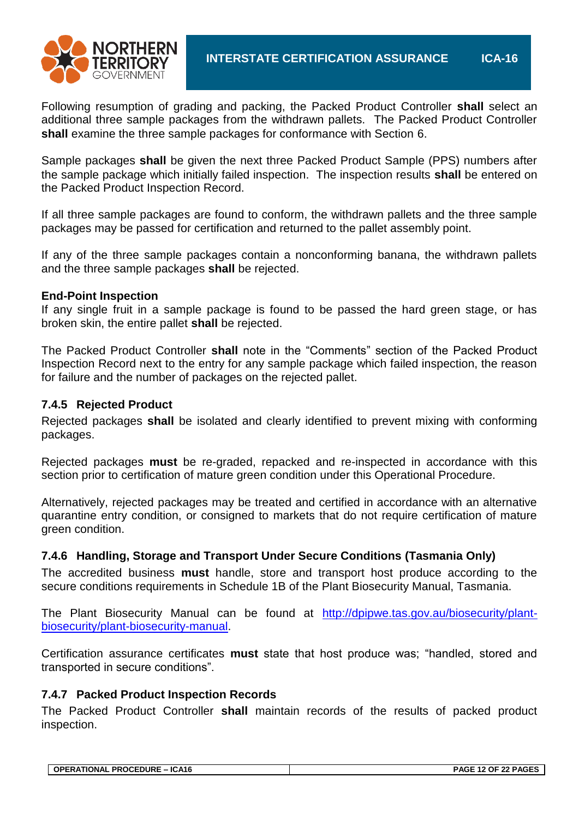

Following resumption of grading and packing, the Packed Product Controller **shall** select an additional three sample packages from the withdrawn pallets. The Packed Product Controller **shall** examine the three sample packages for conformance with Section 6.

Sample packages **shall** be given the next three Packed Product Sample (PPS) numbers after the sample package which initially failed inspection. The inspection results **shall** be entered on the Packed Product Inspection Record.

If all three sample packages are found to conform, the withdrawn pallets and the three sample packages may be passed for certification and returned to the pallet assembly point.

If any of the three sample packages contain a nonconforming banana, the withdrawn pallets and the three sample packages **shall** be rejected.

#### **End-Point Inspection**

If any single fruit in a sample package is found to be passed the hard green stage, or has broken skin, the entire pallet **shall** be rejected.

The Packed Product Controller **shall** note in the "Comments" section of the Packed Product Inspection Record next to the entry for any sample package which failed inspection, the reason for failure and the number of packages on the rejected pallet.

#### **7.4.5 Rejected Product**

Rejected packages **shall** be isolated and clearly identified to prevent mixing with conforming packages.

Rejected packages **must** be re-graded, repacked and re-inspected in accordance with this section prior to certification of mature green condition under this Operational Procedure.

Alternatively, rejected packages may be treated and certified in accordance with an alternative quarantine entry condition, or consigned to markets that do not require certification of mature green condition.

# **7.4.6 Handling, Storage and Transport Under Secure Conditions (Tasmania Only)**

The accredited business **must** handle, store and transport host produce according to the secure conditions requirements in Schedule 1B of the Plant Biosecurity Manual, Tasmania.

The Plant Biosecurity Manual can be found at [http://dpipwe.tas.gov.au/biosecurity/plant](http://dpipwe.tas.gov.au/biosecurity/plant-biosecurity/plant-biosecurity-manual)[biosecurity/plant-biosecurity-manual.](http://dpipwe.tas.gov.au/biosecurity/plant-biosecurity/plant-biosecurity-manual)

Certification assurance certificates **must** state that host produce was; "handled, stored and transported in secure conditions".

#### **7.4.7 Packed Product Inspection Records**

The Packed Product Controller **shall** maintain records of the results of packed product inspection.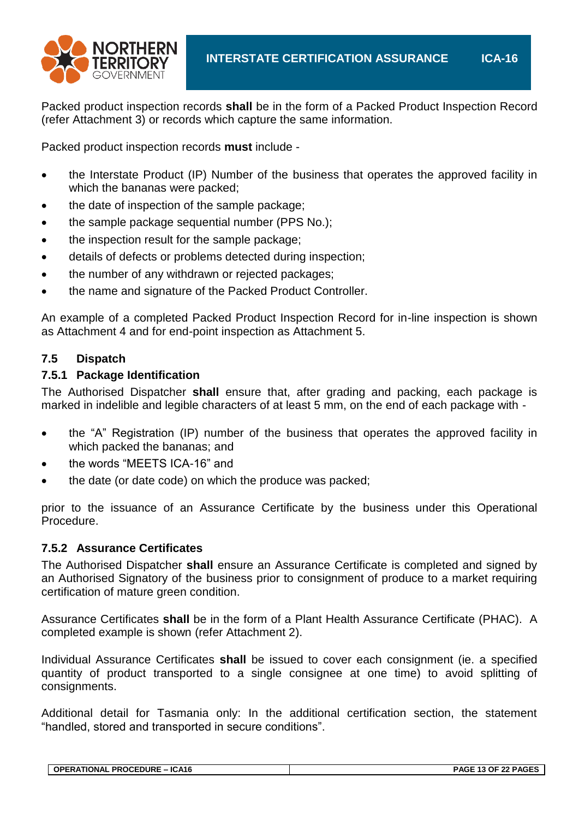

Packed product inspection records **shall** be in the form of a Packed Product Inspection Record (refer Attachment 3) or records which capture the same information.

Packed product inspection records **must** include -

- the Interstate Product (IP) Number of the business that operates the approved facility in which the bananas were packed;
- the date of inspection of the sample package;
- the sample package sequential number (PPS No.);
- the inspection result for the sample package;
- details of defects or problems detected during inspection;
- the number of any withdrawn or rejected packages;
- the name and signature of the Packed Product Controller.

An example of a completed Packed Product Inspection Record for in-line inspection is shown as Attachment 4 and for end-point inspection as Attachment 5.

#### **7.5 Dispatch**

#### **7.5.1 Package Identification**

The Authorised Dispatcher **shall** ensure that, after grading and packing, each package is marked in indelible and legible characters of at least 5 mm, on the end of each package with -

- the "A" Registration (IP) number of the business that operates the approved facility in which packed the bananas; and
- the words "MEETS ICA-16" and
- the date (or date code) on which the produce was packed;

prior to the issuance of an Assurance Certificate by the business under this Operational Procedure.

#### **7.5.2 Assurance Certificates**

The Authorised Dispatcher **shall** ensure an Assurance Certificate is completed and signed by an Authorised Signatory of the business prior to consignment of produce to a market requiring certification of mature green condition.

Assurance Certificates **shall** be in the form of a Plant Health Assurance Certificate (PHAC). A completed example is shown (refer Attachment 2).

Individual Assurance Certificates **shall** be issued to cover each consignment (ie. a specified quantity of product transported to a single consignee at one time) to avoid splitting of consignments.

Additional detail for Tasmania only: In the additional certification section, the statement "handled, stored and transported in secure conditions".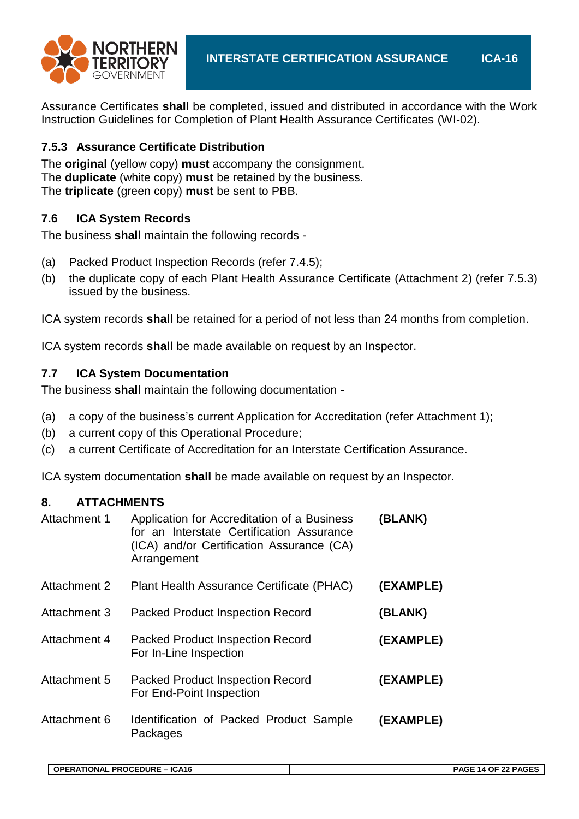

Assurance Certificates **shall** be completed, issued and distributed in accordance with the Work Instruction Guidelines for Completion of Plant Health Assurance Certificates (WI-02).

# **7.5.3 Assurance Certificate Distribution**

The **original** (yellow copy) **must** accompany the consignment. The **duplicate** (white copy) **must** be retained by the business. The **triplicate** (green copy) **must** be sent to PBB.

# **7.6 ICA System Records**

The business **shall** maintain the following records -

- (a) Packed Product Inspection Records (refer 7.4.5);
- (b) the duplicate copy of each Plant Health Assurance Certificate (Attachment 2) (refer 7.5.3) issued by the business.

ICA system records **shall** be retained for a period of not less than 24 months from completion.

ICA system records **shall** be made available on request by an Inspector.

# **7.7 ICA System Documentation**

The business **shall** maintain the following documentation -

- (a) a copy of the business's current Application for Accreditation (refer Attachment 1);
- (b) a current copy of this Operational Procedure;
- (c) a current Certificate of Accreditation for an Interstate Certification Assurance.

ICA system documentation **shall** be made available on request by an Inspector.

# **8. ATTACHMENTS**

| Attachment 1 | Application for Accreditation of a Business<br>for an Interstate Certification Assurance<br>(ICA) and/or Certification Assurance (CA)<br>Arrangement | (BLANK)   |
|--------------|------------------------------------------------------------------------------------------------------------------------------------------------------|-----------|
| Attachment 2 | Plant Health Assurance Certificate (PHAC)                                                                                                            | (EXAMPLE) |
| Attachment 3 | <b>Packed Product Inspection Record</b>                                                                                                              | (BLANK)   |
| Attachment 4 | <b>Packed Product Inspection Record</b><br>For In-Line Inspection                                                                                    | (EXAMPLE) |
| Attachment 5 | <b>Packed Product Inspection Record</b><br>For End-Point Inspection                                                                                  | (EXAMPLE) |
| Attachment 6 | Identification of Packed Product Sample<br>Packages                                                                                                  | (EXAMPLE) |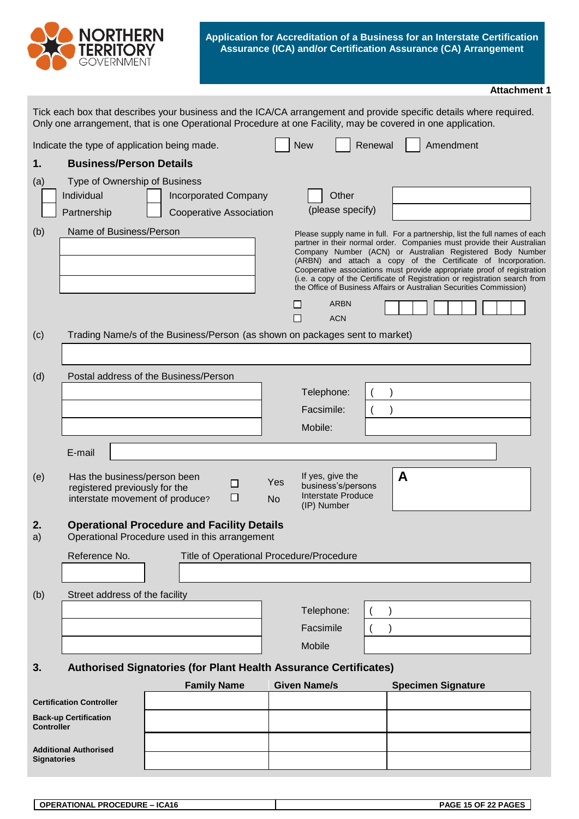

#### **Attachment 1**

|                   |                                                                                                  |                                                                                                     |                                                                                                 | Tick each box that describes your business and the ICA/CA arrangement and provide specific details where required.<br>Only one arrangement, that is one Operational Procedure at one Facility, may be covered in one application.                                                                                                                                                                                                                                                                                   |
|-------------------|--------------------------------------------------------------------------------------------------|-----------------------------------------------------------------------------------------------------|-------------------------------------------------------------------------------------------------|---------------------------------------------------------------------------------------------------------------------------------------------------------------------------------------------------------------------------------------------------------------------------------------------------------------------------------------------------------------------------------------------------------------------------------------------------------------------------------------------------------------------|
|                   | Indicate the type of application being made.                                                     |                                                                                                     | <b>New</b>                                                                                      | Amendment<br>Renewal                                                                                                                                                                                                                                                                                                                                                                                                                                                                                                |
| 1.                | <b>Business/Person Details</b>                                                                   |                                                                                                     |                                                                                                 |                                                                                                                                                                                                                                                                                                                                                                                                                                                                                                                     |
| (a)               | Type of Ownership of Business<br>Individual<br>Partnership                                       | <b>Incorporated Company</b><br>Cooperative Association                                              | Other<br>(please specify)                                                                       |                                                                                                                                                                                                                                                                                                                                                                                                                                                                                                                     |
| (b)               | Name of Business/Person                                                                          |                                                                                                     | <b>ARBN</b><br>П<br><b>ACN</b>                                                                  | Please supply name in full. For a partnership, list the full names of each<br>partner in their normal order. Companies must provide their Australian<br>Company Number (ACN) or Australian Registered Body Number<br>(ARBN) and attach a copy of the Certificate of Incorporation.<br>Cooperative associations must provide appropriate proof of registration<br>(i.e. a copy of the Certificate of Registration or registration search from<br>the Office of Business Affairs or Australian Securities Commission) |
| (c)               |                                                                                                  | Trading Name/s of the Business/Person (as shown on packages sent to market)                         |                                                                                                 |                                                                                                                                                                                                                                                                                                                                                                                                                                                                                                                     |
| (d)               |                                                                                                  | Postal address of the Business/Person                                                               | Telephone:<br>Facsimile:<br>Mobile:                                                             |                                                                                                                                                                                                                                                                                                                                                                                                                                                                                                                     |
|                   | E-mail                                                                                           |                                                                                                     |                                                                                                 |                                                                                                                                                                                                                                                                                                                                                                                                                                                                                                                     |
| (e)               | Has the business/person been<br>registered previously for the<br>interstate movement of produce? | $\Box$<br>□                                                                                         | If yes, give the<br>Yes<br>business's/persons<br>Interstate Produce<br><b>No</b><br>(IP) Number | A                                                                                                                                                                                                                                                                                                                                                                                                                                                                                                                   |
| 2.<br>a)          |                                                                                                  | <b>Operational Procedure and Facility Details</b><br>Operational Procedure used in this arrangement |                                                                                                 |                                                                                                                                                                                                                                                                                                                                                                                                                                                                                                                     |
|                   | Reference No.                                                                                    |                                                                                                     | Title of Operational Procedure/Procedure                                                        |                                                                                                                                                                                                                                                                                                                                                                                                                                                                                                                     |
|                   |                                                                                                  |                                                                                                     |                                                                                                 |                                                                                                                                                                                                                                                                                                                                                                                                                                                                                                                     |
| (b)               | Street address of the facility                                                                   |                                                                                                     |                                                                                                 |                                                                                                                                                                                                                                                                                                                                                                                                                                                                                                                     |
|                   |                                                                                                  |                                                                                                     | Telephone:                                                                                      |                                                                                                                                                                                                                                                                                                                                                                                                                                                                                                                     |
|                   |                                                                                                  |                                                                                                     | Facsimile                                                                                       |                                                                                                                                                                                                                                                                                                                                                                                                                                                                                                                     |
|                   |                                                                                                  |                                                                                                     | Mobile                                                                                          |                                                                                                                                                                                                                                                                                                                                                                                                                                                                                                                     |
| 3.                |                                                                                                  | Authorised Signatories (for Plant Health Assurance Certificates)                                    |                                                                                                 |                                                                                                                                                                                                                                                                                                                                                                                                                                                                                                                     |
|                   |                                                                                                  | <b>Family Name</b>                                                                                  | <b>Given Name/s</b>                                                                             | <b>Specimen Signature</b>                                                                                                                                                                                                                                                                                                                                                                                                                                                                                           |
| <b>Controller</b> | <b>Certification Controller</b><br><b>Back-up Certification</b>                                  |                                                                                                     |                                                                                                 |                                                                                                                                                                                                                                                                                                                                                                                                                                                                                                                     |
|                   |                                                                                                  |                                                                                                     |                                                                                                 |                                                                                                                                                                                                                                                                                                                                                                                                                                                                                                                     |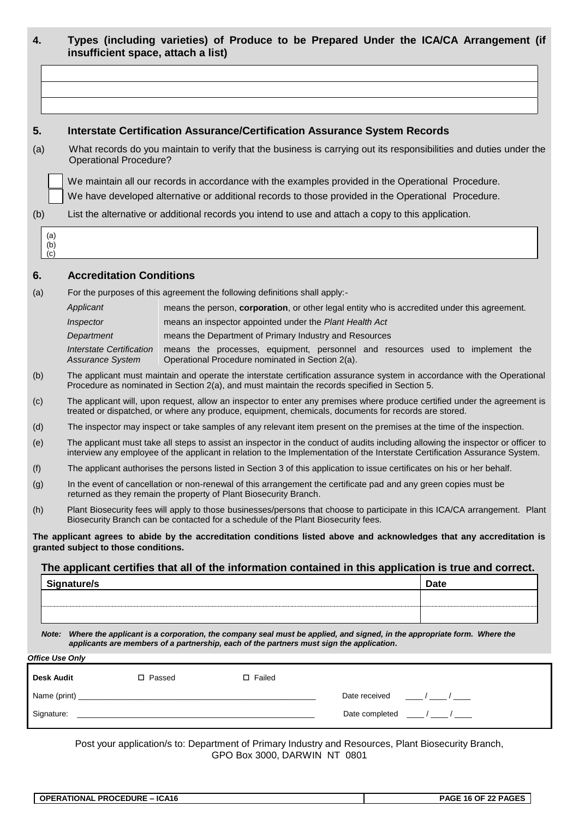| 4.                     | insufficient space, attach a list)                                                       |                                                         |                                                                                                                          | Types (including varieties) of Produce to be Prepared Under the ICA/CA Arrangement (if                                                                                                                                                                          |
|------------------------|------------------------------------------------------------------------------------------|---------------------------------------------------------|--------------------------------------------------------------------------------------------------------------------------|-----------------------------------------------------------------------------------------------------------------------------------------------------------------------------------------------------------------------------------------------------------------|
|                        |                                                                                          |                                                         |                                                                                                                          |                                                                                                                                                                                                                                                                 |
|                        |                                                                                          |                                                         |                                                                                                                          |                                                                                                                                                                                                                                                                 |
|                        |                                                                                          |                                                         |                                                                                                                          |                                                                                                                                                                                                                                                                 |
| 5.                     |                                                                                          |                                                         | <b>Interstate Certification Assurance/Certification Assurance System Records</b>                                         |                                                                                                                                                                                                                                                                 |
| (a)                    | <b>Operational Procedure?</b>                                                            |                                                         |                                                                                                                          | What records do you maintain to verify that the business is carrying out its responsibilities and duties under the                                                                                                                                              |
|                        |                                                                                          |                                                         | We maintain all our records in accordance with the examples provided in the Operational Procedure.                       |                                                                                                                                                                                                                                                                 |
|                        |                                                                                          |                                                         | We have developed alternative or additional records to those provided in the Operational Procedure.                      |                                                                                                                                                                                                                                                                 |
| (b)                    |                                                                                          |                                                         | List the alternative or additional records you intend to use and attach a copy to this application.                      |                                                                                                                                                                                                                                                                 |
| (a)<br>(b)<br>(c)      |                                                                                          |                                                         |                                                                                                                          |                                                                                                                                                                                                                                                                 |
| 6.                     | <b>Accreditation Conditions</b>                                                          |                                                         |                                                                                                                          |                                                                                                                                                                                                                                                                 |
| (a)                    | For the purposes of this agreement the following definitions shall apply:-               |                                                         |                                                                                                                          |                                                                                                                                                                                                                                                                 |
|                        | Applicant                                                                                |                                                         |                                                                                                                          | means the person, corporation, or other legal entity who is accredited under this agreement.                                                                                                                                                                    |
|                        | Inspector                                                                                | means an inspector appointed under the Plant Health Act |                                                                                                                          |                                                                                                                                                                                                                                                                 |
|                        | Department                                                                               | means the Department of Primary Industry and Resources  |                                                                                                                          |                                                                                                                                                                                                                                                                 |
|                        | <b>Interstate Certification</b><br>Assurance System                                      | Operational Procedure nominated in Section 2(a).        |                                                                                                                          | means the processes, equipment, personnel and resources used to implement the                                                                                                                                                                                   |
| (b)                    |                                                                                          |                                                         | Procedure as nominated in Section 2(a), and must maintain the records specified in Section 5.                            | The applicant must maintain and operate the interstate certification assurance system in accordance with the Operational                                                                                                                                        |
| (c)                    |                                                                                          |                                                         | treated or dispatched, or where any produce, equipment, chemicals, documents for records are stored.                     | The applicant will, upon request, allow an inspector to enter any premises where produce certified under the agreement is                                                                                                                                       |
| (d)                    |                                                                                          |                                                         |                                                                                                                          | The inspector may inspect or take samples of any relevant item present on the premises at the time of the inspection.                                                                                                                                           |
| (e)                    |                                                                                          |                                                         |                                                                                                                          | The applicant must take all steps to assist an inspector in the conduct of audits including allowing the inspector or officer to<br>interview any employee of the applicant in relation to the Implementation of the Interstate Certification Assurance System. |
| (f)                    |                                                                                          |                                                         | The applicant authorises the persons listed in Section 3 of this application to issue certificates on his or her behalf. |                                                                                                                                                                                                                                                                 |
| (g)                    | returned as they remain the property of Plant Biosecurity Branch.                        |                                                         | In the event of cancellation or non-renewal of this arrangement the certificate pad and any green copies must be         |                                                                                                                                                                                                                                                                 |
| (h)                    | Biosecurity Branch can be contacted for a schedule of the Plant Biosecurity fees.        |                                                         |                                                                                                                          | Plant Biosecurity fees will apply to those businesses/persons that choose to participate in this ICA/CA arrangement. Plant                                                                                                                                      |
|                        | granted subject to those conditions.                                                     |                                                         |                                                                                                                          | The applicant agrees to abide by the accreditation conditions listed above and acknowledges that any accreditation is                                                                                                                                           |
|                        |                                                                                          |                                                         |                                                                                                                          | The applicant certifies that all of the information contained in this application is true and correct.                                                                                                                                                          |
|                        | Signature/s                                                                              |                                                         |                                                                                                                          | <b>Date</b>                                                                                                                                                                                                                                                     |
|                        |                                                                                          |                                                         |                                                                                                                          |                                                                                                                                                                                                                                                                 |
|                        | applicants are members of a partnership, each of the partners must sign the application. |                                                         |                                                                                                                          | Note: Where the applicant is a corporation, the company seal must be applied, and signed, in the appropriate form. Where the                                                                                                                                    |
| <b>Office Use Only</b> |                                                                                          |                                                         |                                                                                                                          |                                                                                                                                                                                                                                                                 |
| Desk Audit             | □ Passed                                                                                 | $\Box$ Failed                                           |                                                                                                                          |                                                                                                                                                                                                                                                                 |
|                        |                                                                                          |                                                         | Date received $\frac{1}{2}$ / $\frac{1}{2}$ / $\frac{1}{2}$                                                              |                                                                                                                                                                                                                                                                 |
|                        |                                                                                          |                                                         | Date completed $\frac{1}{2}$ / $\frac{1}{2}$ / $\frac{1}{2}$                                                             |                                                                                                                                                                                                                                                                 |

Post your application/s to: Department of Primary Industry and Resources, Plant Biosecurity Branch, GPO Box 3000, DARWIN NT 0801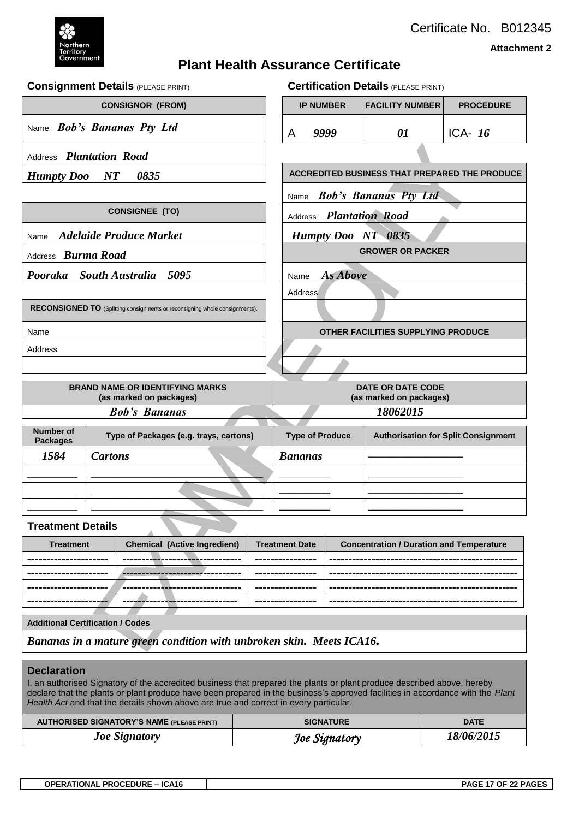

Certificate No. B012345

**Attachment 2**

# **Plant Health Assurance Certificate**

**Consignment Details** (PLEASE PRINT) **Certification Details** (PLEASE PRINT)

| <b>CONSIGNOR (FROM)</b>                                 |                                 |                                                                             |             |                                                                          | <b>IP NUMBER</b>   | <b>FACILITY NUMBER</b>                              | <b>PROCEDURE</b> |
|---------------------------------------------------------|---------------------------------|-----------------------------------------------------------------------------|-------------|--------------------------------------------------------------------------|--------------------|-----------------------------------------------------|------------------|
| Name Bob's Bananas Pty Ltd                              |                                 |                                                                             |             | A                                                                        | 9999               | 01                                                  | ICA- $16$        |
| Address Plantation Road                                 |                                 |                                                                             |             |                                                                          |                    |                                                     |                  |
| <b>Humpty Doo</b>                                       | $\boldsymbol{N} \boldsymbol{T}$ | 0835                                                                        |             |                                                                          |                    | ACCREDITED BUSINESS THAT PREPARED THE PRODUCE       |                  |
|                                                         |                                 |                                                                             |             | Name                                                                     |                    | <b>Bob's Bananas Pty Ltd</b>                        |                  |
|                                                         |                                 | <b>CONSIGNEE (TO)</b>                                                       |             | Address                                                                  |                    | <b>Plantation Road</b>                              |                  |
| Name                                                    |                                 | <b>Adelaide Produce Market</b>                                              |             |                                                                          | Humpty Doo NT 0835 |                                                     |                  |
| Address <b>Burma Road</b>                               |                                 |                                                                             |             |                                                                          |                    | <b>GROWER OR PACKER</b>                             |                  |
| Pooraka                                                 |                                 | 5095<br><b>South Australia</b>                                              |             | Name                                                                     | <b>As Above</b>    |                                                     |                  |
|                                                         |                                 |                                                                             |             | Address                                                                  |                    |                                                     |                  |
|                                                         |                                 | RECONSIGNED TO (Splitting consignments or reconsigning whole consignments). |             |                                                                          |                    |                                                     |                  |
| Name                                                    |                                 |                                                                             |             | OTHER FACILITIES SUPPLYING PRODUCE                                       |                    |                                                     |                  |
| Address                                                 |                                 |                                                                             |             |                                                                          |                    |                                                     |                  |
|                                                         |                                 |                                                                             |             |                                                                          |                    |                                                     |                  |
|                                                         |                                 | <b>BRAND NAME OR IDENTIFYING MARKS</b><br>(as marked on packages)           |             |                                                                          |                    | <b>DATE OR DATE CODE</b><br>(as marked on packages) |                  |
|                                                         |                                 | <b>Bob's Bananas</b>                                                        |             | 18062015                                                                 |                    |                                                     |                  |
| <b>Number of</b><br><b>Packages</b>                     |                                 | Type of Packages (e.g. trays, cartons)                                      |             | <b>Type of Produce</b><br><b>Authorisation for Split Consignment</b>     |                    |                                                     |                  |
| 1584                                                    | <b>Cartons</b>                  |                                                                             |             |                                                                          | <b>Bananas</b>     |                                                     |                  |
|                                                         |                                 |                                                                             |             |                                                                          |                    |                                                     |                  |
|                                                         |                                 |                                                                             |             |                                                                          |                    |                                                     |                  |
|                                                         |                                 |                                                                             |             |                                                                          |                    |                                                     |                  |
| <b>Treatment Details</b>                                |                                 |                                                                             |             |                                                                          |                    |                                                     |                  |
| <b>Chemical (Active Ingredient)</b><br><b>Treatment</b> |                                 |                                                                             |             | <b>Treatment Date</b><br><b>Concentration / Duration and Temperature</b> |                    |                                                     |                  |
|                                                         |                                 |                                                                             | ----------- |                                                                          |                    |                                                     |                  |
|                                                         |                                 |                                                                             |             |                                                                          |                    |                                                     |                  |
|                                                         |                                 |                                                                             |             |                                                                          |                    |                                                     |                  |
|                                                         |                                 |                                                                             |             |                                                                          |                    |                                                     |                  |

#### **Additional Certification / Codes**

*Bananas in a mature green condition with unbroken skin. Meets ICA16.*

#### **Declaration**

I, an authorised Signatory of the accredited business that prepared the plants or plant produce described above, hereby declare that the plants or plant produce have been prepared in the business's approved facilities in accordance with the *Plant Health Act* and that the details shown above are true and correct in every particular.

| <b>AUTHORISED SIGNATORY'S NAME (PLEASE PRINT)</b> | <b>SIGNATURE</b> | <b>DATE</b> |
|---------------------------------------------------|------------------|-------------|
| <b>Joe Signatory</b>                              | Joe Signatory    | 18/06/2015  |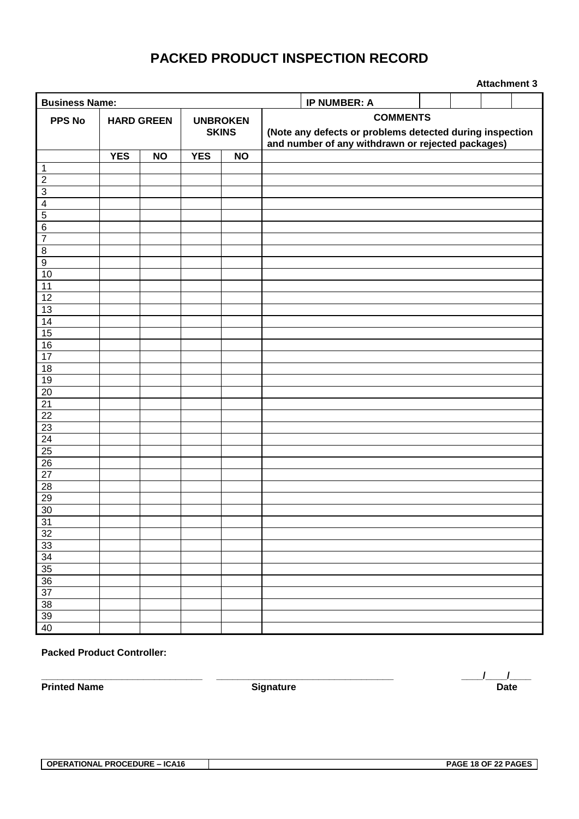# **PACKED PRODUCT INSPECTION RECORD**

| <b>Business Name:</b><br><b>IP NUMBER: A</b>                            |                   |           |              |                 |                                                                                                                                  |  |  |  |  |  |  |  |  |  |
|-------------------------------------------------------------------------|-------------------|-----------|--------------|-----------------|----------------------------------------------------------------------------------------------------------------------------------|--|--|--|--|--|--|--|--|--|
| PPS No                                                                  | <b>HARD GREEN</b> |           |              | <b>UNBROKEN</b> | <b>COMMENTS</b><br>(Note any defects or problems detected during inspection<br>and number of any withdrawn or rejected packages) |  |  |  |  |  |  |  |  |  |
|                                                                         |                   |           | <b>SKINS</b> |                 |                                                                                                                                  |  |  |  |  |  |  |  |  |  |
|                                                                         | <b>YES</b>        | <b>NO</b> | <b>YES</b>   | <b>NO</b>       |                                                                                                                                  |  |  |  |  |  |  |  |  |  |
| 1                                                                       |                   |           |              |                 |                                                                                                                                  |  |  |  |  |  |  |  |  |  |
| $\mathbf 2$                                                             |                   |           |              |                 |                                                                                                                                  |  |  |  |  |  |  |  |  |  |
| $\overline{3}$                                                          |                   |           |              |                 |                                                                                                                                  |  |  |  |  |  |  |  |  |  |
| $\overline{\mathbf{4}}$                                                 |                   |           |              |                 |                                                                                                                                  |  |  |  |  |  |  |  |  |  |
| $\overline{5}$                                                          |                   |           |              |                 |                                                                                                                                  |  |  |  |  |  |  |  |  |  |
| $\,6$                                                                   |                   |           |              |                 |                                                                                                                                  |  |  |  |  |  |  |  |  |  |
| $\overline{7}$                                                          |                   |           |              |                 |                                                                                                                                  |  |  |  |  |  |  |  |  |  |
| $\,8\,$                                                                 |                   |           |              |                 |                                                                                                                                  |  |  |  |  |  |  |  |  |  |
| $\overline{9}$                                                          |                   |           |              |                 |                                                                                                                                  |  |  |  |  |  |  |  |  |  |
| 10                                                                      |                   |           |              |                 |                                                                                                                                  |  |  |  |  |  |  |  |  |  |
| $\overline{11}$                                                         |                   |           |              |                 |                                                                                                                                  |  |  |  |  |  |  |  |  |  |
| 12                                                                      |                   |           |              |                 |                                                                                                                                  |  |  |  |  |  |  |  |  |  |
| 13                                                                      |                   |           |              |                 |                                                                                                                                  |  |  |  |  |  |  |  |  |  |
| 14                                                                      |                   |           |              |                 |                                                                                                                                  |  |  |  |  |  |  |  |  |  |
| 15                                                                      |                   |           |              |                 |                                                                                                                                  |  |  |  |  |  |  |  |  |  |
| 16                                                                      |                   |           |              |                 |                                                                                                                                  |  |  |  |  |  |  |  |  |  |
| 17                                                                      |                   |           |              |                 |                                                                                                                                  |  |  |  |  |  |  |  |  |  |
| 18                                                                      |                   |           |              |                 |                                                                                                                                  |  |  |  |  |  |  |  |  |  |
| 19                                                                      |                   |           |              |                 |                                                                                                                                  |  |  |  |  |  |  |  |  |  |
|                                                                         |                   |           |              |                 |                                                                                                                                  |  |  |  |  |  |  |  |  |  |
|                                                                         |                   |           |              |                 |                                                                                                                                  |  |  |  |  |  |  |  |  |  |
|                                                                         |                   |           |              |                 |                                                                                                                                  |  |  |  |  |  |  |  |  |  |
| $\frac{20}{21} \frac{22}{23} \frac{23}{24} \frac{25}{25} \frac{26}{27}$ |                   |           |              |                 |                                                                                                                                  |  |  |  |  |  |  |  |  |  |
|                                                                         |                   |           |              |                 |                                                                                                                                  |  |  |  |  |  |  |  |  |  |
|                                                                         |                   |           |              |                 |                                                                                                                                  |  |  |  |  |  |  |  |  |  |
|                                                                         |                   |           |              |                 |                                                                                                                                  |  |  |  |  |  |  |  |  |  |
|                                                                         |                   |           |              |                 |                                                                                                                                  |  |  |  |  |  |  |  |  |  |
| $\overline{28}$                                                         |                   |           |              |                 |                                                                                                                                  |  |  |  |  |  |  |  |  |  |
| 29                                                                      |                   |           |              |                 |                                                                                                                                  |  |  |  |  |  |  |  |  |  |
| 30                                                                      |                   |           |              |                 |                                                                                                                                  |  |  |  |  |  |  |  |  |  |
| 31                                                                      |                   |           |              |                 |                                                                                                                                  |  |  |  |  |  |  |  |  |  |
| 32                                                                      |                   |           |              |                 |                                                                                                                                  |  |  |  |  |  |  |  |  |  |
| 33                                                                      |                   |           |              |                 |                                                                                                                                  |  |  |  |  |  |  |  |  |  |
|                                                                         |                   |           |              |                 |                                                                                                                                  |  |  |  |  |  |  |  |  |  |
| $\frac{34}{35}$                                                         |                   |           |              |                 |                                                                                                                                  |  |  |  |  |  |  |  |  |  |
| 36                                                                      |                   |           |              |                 |                                                                                                                                  |  |  |  |  |  |  |  |  |  |
| $\overline{37}$                                                         |                   |           |              |                 |                                                                                                                                  |  |  |  |  |  |  |  |  |  |
| 38                                                                      |                   |           |              |                 |                                                                                                                                  |  |  |  |  |  |  |  |  |  |
| 39                                                                      |                   |           |              |                 |                                                                                                                                  |  |  |  |  |  |  |  |  |  |
| 40                                                                      |                   |           |              |                 |                                                                                                                                  |  |  |  |  |  |  |  |  |  |

#### **Packed Product Controller:**

**\_\_\_\_\_\_\_\_\_\_\_\_\_\_\_\_\_\_\_\_\_\_\_\_\_\_\_\_\_\_ \_\_\_\_\_\_\_\_\_\_\_\_\_\_\_\_\_\_\_\_\_\_\_\_\_\_\_\_\_\_\_\_\_ \_\_\_\_/\_\_\_\_/\_\_\_\_ Printed Name Date**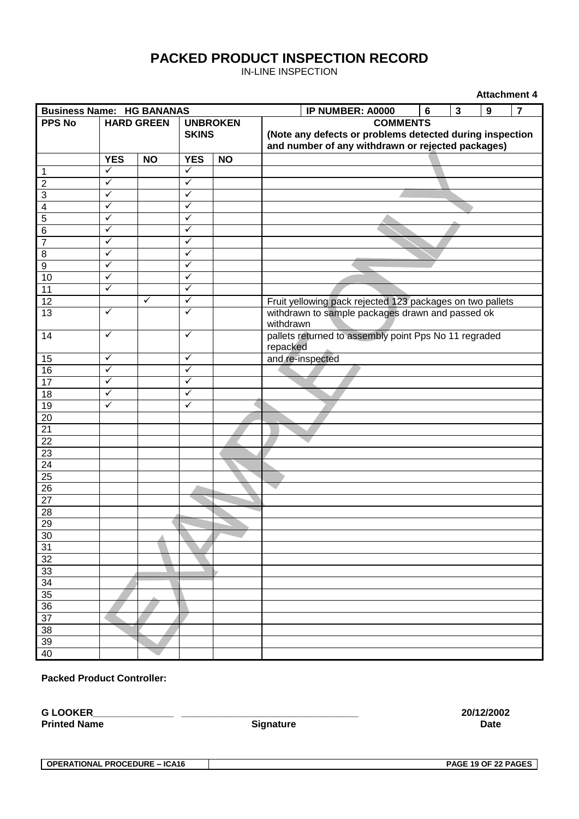# **PACKED PRODUCT INSPECTION RECORD**

IN-LINE INSPECTION

| <b>Attachment 4</b>              |                   |           |                                 |           |                                                                                                                                  |  |  |  |  |  |
|----------------------------------|-------------------|-----------|---------------------------------|-----------|----------------------------------------------------------------------------------------------------------------------------------|--|--|--|--|--|
| <b>Business Name: HG BANANAS</b> |                   |           |                                 |           | $\overline{7}$<br>IP NUMBER: A0000<br>3<br>9<br>6                                                                                |  |  |  |  |  |
| <b>PPS No</b>                    | <b>HARD GREEN</b> |           | <b>UNBROKEN</b><br><b>SKINS</b> |           | <b>COMMENTS</b><br>(Note any defects or problems detected during inspection<br>and number of any withdrawn or rejected packages) |  |  |  |  |  |
|                                  | <b>YES</b>        | <b>NO</b> | <b>YES</b>                      | <b>NO</b> |                                                                                                                                  |  |  |  |  |  |
| $\overline{1}$                   | $\checkmark$      |           | $\checkmark$                    |           |                                                                                                                                  |  |  |  |  |  |
| $\overline{2}$                   | $\checkmark$      |           | $\checkmark$                    |           |                                                                                                                                  |  |  |  |  |  |
| $\overline{3}$                   | $\checkmark$      |           | $\checkmark$                    |           |                                                                                                                                  |  |  |  |  |  |
|                                  | $\checkmark$      |           | $\checkmark$                    |           |                                                                                                                                  |  |  |  |  |  |
| $\frac{4}{5}$                    | $\checkmark$      |           | ✓                               |           |                                                                                                                                  |  |  |  |  |  |
| $\overline{6}$                   | ✓                 |           | $\checkmark$                    |           |                                                                                                                                  |  |  |  |  |  |
| $\overline{7}$                   | ✓                 |           | $\checkmark$                    |           |                                                                                                                                  |  |  |  |  |  |
| $\overline{8}$                   | $\checkmark$      |           | $\checkmark$                    |           |                                                                                                                                  |  |  |  |  |  |
| $\overline{9}$                   | $\checkmark$      |           | ✓                               |           |                                                                                                                                  |  |  |  |  |  |
| 10                               | ✓                 |           | ✓                               |           |                                                                                                                                  |  |  |  |  |  |
| 11                               | $\checkmark$      |           | ✓                               |           |                                                                                                                                  |  |  |  |  |  |
| 12                               |                   | ✓         | $\checkmark$                    |           | Fruit yellowing pack rejected 123 packages on two pallets                                                                        |  |  |  |  |  |
| 13                               | ✓                 |           | $\checkmark$                    |           | withdrawn to sample packages drawn and passed ok<br>withdrawn                                                                    |  |  |  |  |  |
| 14                               | $\checkmark$      |           | $\checkmark$                    |           | pallets returned to assembly point Pps No 11 regraded<br>repacked                                                                |  |  |  |  |  |
| 15                               | $\checkmark$      |           | ✓                               |           | and re-inspected                                                                                                                 |  |  |  |  |  |
| 16                               | ✓                 |           | ✓                               |           |                                                                                                                                  |  |  |  |  |  |
| 17                               | ✓                 |           | $\checkmark$                    |           |                                                                                                                                  |  |  |  |  |  |
| $\overline{18}$                  | $\checkmark$      |           | $\checkmark$                    |           |                                                                                                                                  |  |  |  |  |  |
| 19                               | $\checkmark$      |           | $\checkmark$                    |           |                                                                                                                                  |  |  |  |  |  |
| 20                               |                   |           |                                 |           |                                                                                                                                  |  |  |  |  |  |
| $\overline{21}$                  |                   |           |                                 |           |                                                                                                                                  |  |  |  |  |  |
| 22                               |                   |           |                                 |           |                                                                                                                                  |  |  |  |  |  |
| 23                               |                   |           |                                 |           |                                                                                                                                  |  |  |  |  |  |
| $\overline{24}$                  |                   |           |                                 |           |                                                                                                                                  |  |  |  |  |  |
| 25                               |                   |           |                                 |           |                                                                                                                                  |  |  |  |  |  |
| 26                               |                   |           |                                 |           |                                                                                                                                  |  |  |  |  |  |
| $\overline{27}$                  |                   |           |                                 |           |                                                                                                                                  |  |  |  |  |  |
| 28                               |                   |           |                                 |           |                                                                                                                                  |  |  |  |  |  |
| 29                               |                   |           |                                 |           |                                                                                                                                  |  |  |  |  |  |
| 30                               |                   |           |                                 |           |                                                                                                                                  |  |  |  |  |  |
| 31                               |                   |           |                                 |           |                                                                                                                                  |  |  |  |  |  |
| 32                               |                   |           |                                 |           |                                                                                                                                  |  |  |  |  |  |
| 33                               |                   |           |                                 |           |                                                                                                                                  |  |  |  |  |  |
| 34                               |                   |           |                                 |           |                                                                                                                                  |  |  |  |  |  |
| 35                               |                   |           |                                 |           |                                                                                                                                  |  |  |  |  |  |
| 36                               |                   |           |                                 |           |                                                                                                                                  |  |  |  |  |  |
| $\overline{37}$                  |                   |           |                                 |           |                                                                                                                                  |  |  |  |  |  |
| 38                               |                   |           |                                 |           |                                                                                                                                  |  |  |  |  |  |
| 39                               |                   |           |                                 |           |                                                                                                                                  |  |  |  |  |  |
| 40                               |                   |           |                                 |           |                                                                                                                                  |  |  |  |  |  |

#### **Packed Product Controller:**

**G LOOKER\_\_\_\_\_\_\_\_\_\_\_\_\_\_\_ \_\_\_\_\_\_\_\_\_\_\_\_\_\_\_\_\_\_\_\_\_\_\_\_\_\_\_\_\_\_\_\_\_ 20/12/2002 Printed Name** Date **Signature Signature Date** 

**OPERATIONAL PROCEDURE – ICA16 PAGE 19 OF 22 PAGES**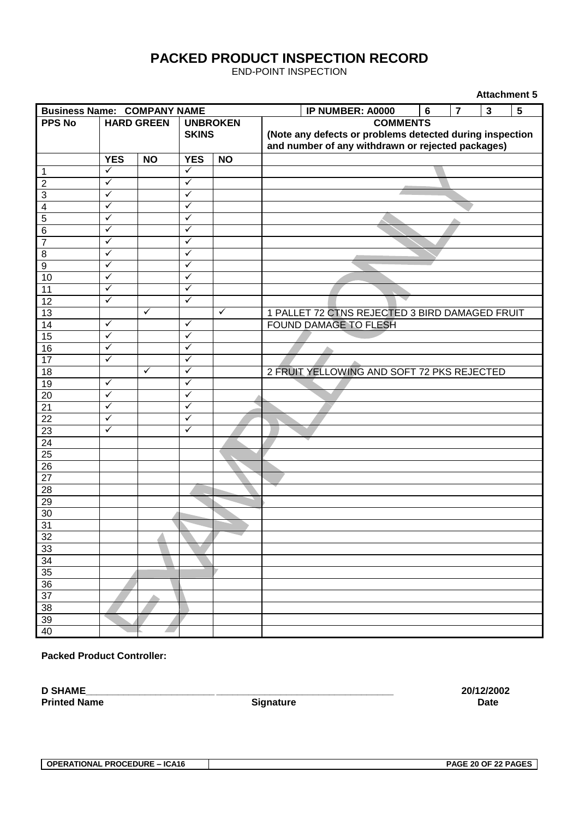# **PACKED PRODUCT INSPECTION RECORD**

END-POINT INSPECTION

| <b>Attachment 5</b>                |                   |              |                                 |              |                                                                                                                                  |                                                |  |   |                |                         |   |
|------------------------------------|-------------------|--------------|---------------------------------|--------------|----------------------------------------------------------------------------------------------------------------------------------|------------------------------------------------|--|---|----------------|-------------------------|---|
| <b>Business Name: COMPANY NAME</b> |                   |              |                                 |              |                                                                                                                                  | IP NUMBER: A0000                               |  | 6 | $\overline{7}$ | $\overline{\mathbf{3}}$ | 5 |
| <b>PPS No</b>                      | <b>HARD GREEN</b> |              | <b>UNBROKEN</b><br><b>SKINS</b> |              | <b>COMMENTS</b><br>(Note any defects or problems detected during inspection<br>and number of any withdrawn or rejected packages) |                                                |  |   |                |                         |   |
|                                    | <b>YES</b>        | <b>NO</b>    | <b>YES</b>                      | <b>NO</b>    |                                                                                                                                  |                                                |  |   |                |                         |   |
| $\overline{1}$                     | $\checkmark$      |              | $\checkmark$                    |              |                                                                                                                                  |                                                |  |   |                |                         |   |
| $\overline{2}$                     | $\checkmark$      |              | $\checkmark$                    |              |                                                                                                                                  |                                                |  |   |                |                         |   |
| $\overline{\omega}$                | $\checkmark$      |              | $\checkmark$                    |              |                                                                                                                                  |                                                |  |   |                |                         |   |
| $\overline{\mathbf{4}}$            | $\checkmark$      |              | $\checkmark$                    |              |                                                                                                                                  |                                                |  |   |                |                         |   |
| $\overline{5}$                     | $\checkmark$      |              | ✓                               |              |                                                                                                                                  |                                                |  |   |                |                         |   |
| $\overline{6}$                     | $\checkmark$      |              | $\checkmark$                    |              |                                                                                                                                  |                                                |  |   |                |                         |   |
| $\overline{7}$                     | ✓                 |              | ✓                               |              |                                                                                                                                  |                                                |  |   |                |                         |   |
| $\overline{8}$                     | $\checkmark$      |              | $\checkmark$                    |              |                                                                                                                                  |                                                |  |   |                |                         |   |
| $\overline{9}$                     | $\checkmark$      |              | $\checkmark$                    |              |                                                                                                                                  |                                                |  |   |                |                         |   |
| 10                                 | $\checkmark$      |              | $\checkmark$                    |              |                                                                                                                                  |                                                |  |   |                |                         |   |
| 11                                 | ✓                 |              | ✓                               |              |                                                                                                                                  |                                                |  |   |                |                         |   |
| 12                                 | $\checkmark$      |              | $\checkmark$                    |              |                                                                                                                                  |                                                |  |   |                |                         |   |
| 13                                 |                   | $\checkmark$ |                                 | $\checkmark$ |                                                                                                                                  | 1 PALLET 72 CTNS REJECTED 3 BIRD DAMAGED FRUIT |  |   |                |                         |   |
| 14                                 | $\checkmark$      |              | $\checkmark$                    |              |                                                                                                                                  | FOUND DAMAGE TO FLESH                          |  |   |                |                         |   |
| 15                                 | $\checkmark$      |              | $\checkmark$                    |              |                                                                                                                                  |                                                |  |   |                |                         |   |
| 16                                 | $\checkmark$      |              | $\checkmark$                    |              |                                                                                                                                  |                                                |  |   |                |                         |   |
| 17                                 | $\checkmark$      |              | $\checkmark$                    |              |                                                                                                                                  |                                                |  |   |                |                         |   |
| 18                                 |                   | $\checkmark$ | $\checkmark$                    |              |                                                                                                                                  | 2 FRUIT YELLOWING AND SOFT 72 PKS REJECTED     |  |   |                |                         |   |
| 19                                 | $\checkmark$      |              | $\checkmark$                    |              |                                                                                                                                  |                                                |  |   |                |                         |   |
| 20                                 | $\checkmark$      |              | $\checkmark$                    |              |                                                                                                                                  |                                                |  |   |                |                         |   |
| 21                                 | $\checkmark$      |              | $\checkmark$                    |              |                                                                                                                                  |                                                |  |   |                |                         |   |
| 22                                 | $\checkmark$      |              | $\checkmark$                    |              |                                                                                                                                  |                                                |  |   |                |                         |   |
| 23                                 | $\checkmark$      |              | $\checkmark$                    |              |                                                                                                                                  |                                                |  |   |                |                         |   |
| 24                                 |                   |              |                                 |              |                                                                                                                                  |                                                |  |   |                |                         |   |
| 25                                 |                   |              |                                 |              |                                                                                                                                  |                                                |  |   |                |                         |   |
| $\overline{26}$                    |                   |              |                                 |              |                                                                                                                                  |                                                |  |   |                |                         |   |
| 27                                 |                   |              |                                 |              |                                                                                                                                  |                                                |  |   |                |                         |   |
| 28                                 |                   |              |                                 |              |                                                                                                                                  |                                                |  |   |                |                         |   |
| 29                                 |                   |              |                                 |              |                                                                                                                                  |                                                |  |   |                |                         |   |
| 30                                 |                   |              |                                 |              |                                                                                                                                  |                                                |  |   |                |                         |   |
| 31                                 |                   |              |                                 |              |                                                                                                                                  |                                                |  |   |                |                         |   |
| 32                                 |                   |              |                                 |              |                                                                                                                                  |                                                |  |   |                |                         |   |
| 33                                 |                   |              |                                 |              |                                                                                                                                  |                                                |  |   |                |                         |   |
| 34                                 |                   |              |                                 |              |                                                                                                                                  |                                                |  |   |                |                         |   |
| 35                                 |                   |              |                                 |              |                                                                                                                                  |                                                |  |   |                |                         |   |
| 36                                 |                   |              |                                 |              |                                                                                                                                  |                                                |  |   |                |                         |   |
| $\overline{37}$                    |                   |              |                                 |              |                                                                                                                                  |                                                |  |   |                |                         |   |
| 38                                 |                   |              |                                 |              |                                                                                                                                  |                                                |  |   |                |                         |   |
| 39                                 |                   |              |                                 |              |                                                                                                                                  |                                                |  |   |                |                         |   |
| 40                                 |                   |              |                                 |              |                                                                                                                                  |                                                |  |   |                |                         |   |

**Packed Product Controller:**

**D SHAME\_\_\_\_\_\_\_\_\_\_\_\_\_\_\_\_\_\_\_\_\_\_\_\_ \_\_\_\_\_\_\_\_\_\_\_\_\_\_\_\_\_\_\_\_\_\_\_\_\_\_\_\_\_\_\_\_\_ 20/12/2002**

**Printed Name** Date **Signature Signature Date**